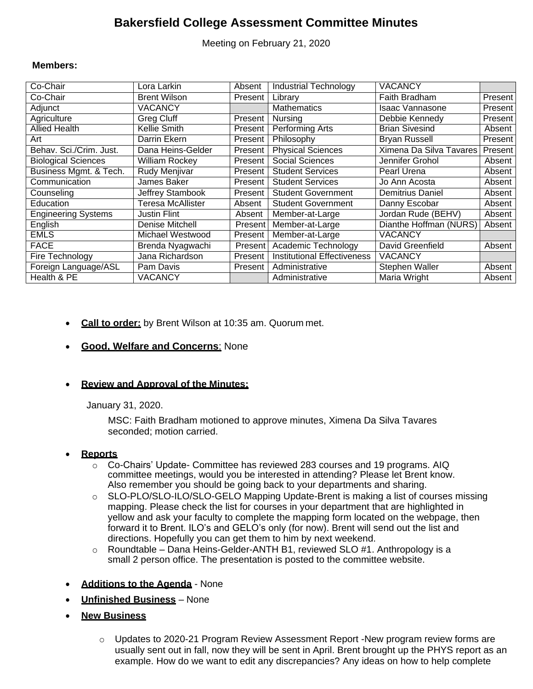# **Bakersfield College Assessment Committee Minutes**

Meeting on February 21, 2020

### **Members:**

| Co-Chair                   | Lora Larkin              | Absent               | <b>Industrial Technology</b>       | VACANCY                 |                      |
|----------------------------|--------------------------|----------------------|------------------------------------|-------------------------|----------------------|
| Co-Chair                   | <b>Brent Wilson</b>      | Present              | Library                            | Faith Bradham           | Present              |
| Adjunct                    | <b>VACANCY</b>           |                      | <b>Mathematics</b>                 | Isaac Vannasone         | Present              |
| Agriculture                | <b>Greg Cluff</b>        | Present              | Nursing                            | Debbie Kennedy          | Present <sup>1</sup> |
| <b>Allied Health</b>       | <b>Kellie Smith</b>      | Present              | Performing Arts                    | <b>Brian Sivesind</b>   | Absent               |
| Art                        | <b>Darrin Ekern</b>      | Present              | Philosophy                         | <b>Bryan Russell</b>    | Present <sup>1</sup> |
| Behav. Sci./Crim. Just.    | Dana Heins-Gelder        | Present I            | <b>Physical Sciences</b>           | Ximena Da Silva Tavares | Present              |
| <b>Biological Sciences</b> | <b>William Rockey</b>    | Present              | <b>Social Sciences</b>             | Jennifer Grohol         | Absent               |
| Business Mgmt. & Tech.     | Rudy Menjivar            | Present              | <b>Student Services</b>            | Pearl Urena             | Absent               |
| Communication              | James Baker              | Present <sup>1</sup> | <b>Student Services</b>            | Jo Ann Acosta           | Absent               |
| Counseling                 | Jeffrey Stambook         | Present <sup>1</sup> | <b>Student Government</b>          | <b>Demitrius Daniel</b> | Absent               |
| Education                  | <b>Teresa McAllister</b> | Absent               | <b>Student Government</b>          | Danny Escobar           | Absent               |
| <b>Engineering Systems</b> | Justin Flint             | Absent               | Member-at-Large                    | Jordan Rude (BEHV)      | Absent               |
| English                    | Denise Mitchell          | Present              | Member-at-Large                    | Dianthe Hoffman (NURS)  | Absent               |
| <b>EMLS</b>                | Michael Westwood         | Present              | Member-at-Large                    | VACANCY                 |                      |
| <b>FACE</b>                | Brenda Nyagwachi         | Present              | Academic Technology                | David Greenfield        | Absent               |
| Fire Technology            | Jana Richardson          | Present              | <b>Institutional Effectiveness</b> | VACANCY                 |                      |
| Foreign Language/ASL       | Pam Davis                | Present              | Administrative                     | Stephen Waller          | Absent               |
| Health & PE                | VACANCY                  |                      | Administrative                     | <b>Maria Wright</b>     | Absent               |

- **Call to order:** by Brent Wilson at 10:35 am. Quorum met.
- **Good, Welfare and Concerns**: None

## **Review and Approval of the Minutes:**

January 31, 2020.

MSC: Faith Bradham motioned to approve minutes, Ximena Da Silva Tavares seconded; motion carried.

### **Reports**

- $\circ$  Co-Chairs' Update- Committee has reviewed 283 courses and 19 programs. AIQ committee meetings, would you be interested in attending? Please let Brent know. Also remember you should be going back to your departments and sharing.
- o SLO-PLO/SLO-ILO/SLO-GELO Mapping Update-Brent is making a list of courses missing mapping. Please check the list for courses in your department that are highlighted in yellow and ask your faculty to complete the mapping form located on the webpage, then forward it to Brent. ILO's and GELO's only (for now). Brent will send out the list and directions. Hopefully you can get them to him by next weekend.
- $\circ$  Roundtable Dana Heins-Gelder-ANTH B1, reviewed SLO #1. Anthropology is a small 2 person office. The presentation is posted to the committee website.
- **Additions to the Agenda** None
- **Unfinished Business** None
- **New Business**
	- o Updates to 2020-21 Program Review Assessment Report -New program review forms are usually sent out in fall, now they will be sent in April. Brent brought up the PHYS report as an example. How do we want to edit any discrepancies? Any ideas on how to help complete